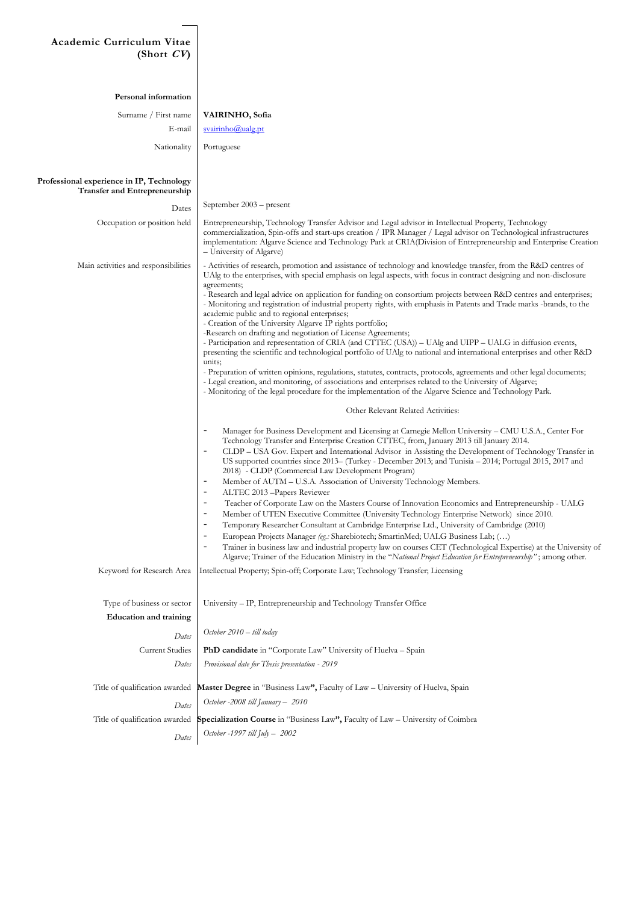## **Academic Curriculum Vitae**  $(Short CV)$

| Personal information                                                       |                                                                                                                                                                                                                                                                                                                                                                                                                                                                                                                                                                                                                                                                                                                                                                                                                                                                                                                                                                                                                                                                                                                                                                                                                                                                                                                                                                                                                                                                                                                                                                                                                                                                                                                                                                                                                                                                                                                                                                                                                                                                                                                                                                                                                                                                                                                                                                                                                                                                                                                                                                                                                                                                                                                                                                                 |
|----------------------------------------------------------------------------|---------------------------------------------------------------------------------------------------------------------------------------------------------------------------------------------------------------------------------------------------------------------------------------------------------------------------------------------------------------------------------------------------------------------------------------------------------------------------------------------------------------------------------------------------------------------------------------------------------------------------------------------------------------------------------------------------------------------------------------------------------------------------------------------------------------------------------------------------------------------------------------------------------------------------------------------------------------------------------------------------------------------------------------------------------------------------------------------------------------------------------------------------------------------------------------------------------------------------------------------------------------------------------------------------------------------------------------------------------------------------------------------------------------------------------------------------------------------------------------------------------------------------------------------------------------------------------------------------------------------------------------------------------------------------------------------------------------------------------------------------------------------------------------------------------------------------------------------------------------------------------------------------------------------------------------------------------------------------------------------------------------------------------------------------------------------------------------------------------------------------------------------------------------------------------------------------------------------------------------------------------------------------------------------------------------------------------------------------------------------------------------------------------------------------------------------------------------------------------------------------------------------------------------------------------------------------------------------------------------------------------------------------------------------------------------------------------------------------------------------------------------------------------|
| Surname / First name                                                       | <b>VAIRINHO, Sofia</b>                                                                                                                                                                                                                                                                                                                                                                                                                                                                                                                                                                                                                                                                                                                                                                                                                                                                                                                                                                                                                                                                                                                                                                                                                                                                                                                                                                                                                                                                                                                                                                                                                                                                                                                                                                                                                                                                                                                                                                                                                                                                                                                                                                                                                                                                                                                                                                                                                                                                                                                                                                                                                                                                                                                                                          |
| E-mail                                                                     | $s$ vairinho@ualg.pt                                                                                                                                                                                                                                                                                                                                                                                                                                                                                                                                                                                                                                                                                                                                                                                                                                                                                                                                                                                                                                                                                                                                                                                                                                                                                                                                                                                                                                                                                                                                                                                                                                                                                                                                                                                                                                                                                                                                                                                                                                                                                                                                                                                                                                                                                                                                                                                                                                                                                                                                                                                                                                                                                                                                                            |
| Nationality                                                                | Portuguese                                                                                                                                                                                                                                                                                                                                                                                                                                                                                                                                                                                                                                                                                                                                                                                                                                                                                                                                                                                                                                                                                                                                                                                                                                                                                                                                                                                                                                                                                                                                                                                                                                                                                                                                                                                                                                                                                                                                                                                                                                                                                                                                                                                                                                                                                                                                                                                                                                                                                                                                                                                                                                                                                                                                                                      |
| Professional experience in IP, Technology<br>Transfer and Entrepreneurship |                                                                                                                                                                                                                                                                                                                                                                                                                                                                                                                                                                                                                                                                                                                                                                                                                                                                                                                                                                                                                                                                                                                                                                                                                                                                                                                                                                                                                                                                                                                                                                                                                                                                                                                                                                                                                                                                                                                                                                                                                                                                                                                                                                                                                                                                                                                                                                                                                                                                                                                                                                                                                                                                                                                                                                                 |
| Dates                                                                      | September $2003$ – present                                                                                                                                                                                                                                                                                                                                                                                                                                                                                                                                                                                                                                                                                                                                                                                                                                                                                                                                                                                                                                                                                                                                                                                                                                                                                                                                                                                                                                                                                                                                                                                                                                                                                                                                                                                                                                                                                                                                                                                                                                                                                                                                                                                                                                                                                                                                                                                                                                                                                                                                                                                                                                                                                                                                                      |
| Occupation or position held                                                | Entrepreneurship, Technology Transfer Advisor and Legal advisor in Intellectual Property, Technology<br>commercialization, Spin-offs and start-ups creation / IPR Manager / Legal advisor on Technological infrastructures<br>implementation: Algarve Science and Technology Park at CRIA(Division of Entrepreneurship and Enterprise Creation<br>– University of Algarve)                                                                                                                                                                                                                                                                                                                                                                                                                                                                                                                                                                                                                                                                                                                                                                                                                                                                                                                                                                                                                                                                                                                                                                                                                                                                                                                                                                                                                                                                                                                                                                                                                                                                                                                                                                                                                                                                                                                                                                                                                                                                                                                                                                                                                                                                                                                                                                                                      |
| Main activities and responsibilities                                       | - Activities of research, promotion and assistance of technology and knowledge transfer, from the R&D centres of<br>UAlg to the enterprises, with special emphasis on legal aspects, with focus in contract designing and non-disclosure<br>agreements;<br>- Research and legal advice on application for funding on consortium projects between R&D centres and enterprises;<br>- Monitoring and registration of industrial property rights, with emphasis in Patents and Trade marks -brands, to the<br>academic public and to regional enterprises;<br>- Creation of the University Algarve IP rights portfolio;<br>-Research on drafting and negotiation of License Agreements;<br>- Participation and representation of CRIA (and CTTEC (USA)) – UAlg and UIPP – UALG in diffusion events,<br>presenting the scientific and technological portfolio of UAlg to national and international enterprises and other R&D<br>units;<br>- Preparation of written opinions, regulations, statutes, contracts, protocols, agreements and other legal documents;<br>- Legal creation, and monitoring, of associations and enterprises related to the University of Algarve;<br>- Monitoring of the legal procedure for the implementation of the Algarve Science and Technology Park.<br>Other Relevant Related Activities:<br>$\overline{\phantom{m}}$<br>Manager for Business Development and Licensing at Carnegie Mellon University - CMU U.S.A., Center For<br>Technology Transfer and Enterprise Creation CTTEC, from, January 2013 till January 2014.<br>CLDP – USA Gov. Expert and International Advisor in Assisting the Development of Technology Transfer in<br>$\overline{\phantom{0}}$<br>US supported countries since 2013– (Turkey - December 2013; and Tunisia - 2014; Portugal 2015, 2017 and<br>2018) - CLDP (Commercial Law Development Program)<br>Member of AUTM – U.S.A. Association of University Technology Members.<br>$\overline{\phantom{0}}$<br>$\overline{\phantom{a}}$<br>ALTEC 2013 - Papers Reviewer<br>$\overline{\phantom{m}}$<br>Teacher of Corporate Law on the Masters Course of Innovation Economics and Entrepreneurship - UALG<br>Member of UTEN Executive Committee (University Technology Enterprise Network) since 2010.<br>$\overline{\phantom{0}}$<br>Temporary Researcher Consultant at Cambridge Enterprise Ltd., University of Cambridge (2010)<br>$\overline{\phantom{0}}$<br>European Projects Manager (eg.: Sharebiotech; SmartinMed; UALG Business Lab; ()<br>$\overline{\phantom{a}}$<br>Trainer in business law and industrial property law on courses CET (Technological Expertise) at the University of<br>Algarve; Trainer of the Education Ministry in the "National Project Education for Entrepreneurship"; among other. |
| Keyword for Research Area                                                  | Intellectual Property; Spin-off; Corporate Law; Technology Transfer; Licensing                                                                                                                                                                                                                                                                                                                                                                                                                                                                                                                                                                                                                                                                                                                                                                                                                                                                                                                                                                                                                                                                                                                                                                                                                                                                                                                                                                                                                                                                                                                                                                                                                                                                                                                                                                                                                                                                                                                                                                                                                                                                                                                                                                                                                                                                                                                                                                                                                                                                                                                                                                                                                                                                                                  |
| Type of business or sector<br><b>Education and training</b>                | University - IP, Entrepreneurship and Technology Transfer Office                                                                                                                                                                                                                                                                                                                                                                                                                                                                                                                                                                                                                                                                                                                                                                                                                                                                                                                                                                                                                                                                                                                                                                                                                                                                                                                                                                                                                                                                                                                                                                                                                                                                                                                                                                                                                                                                                                                                                                                                                                                                                                                                                                                                                                                                                                                                                                                                                                                                                                                                                                                                                                                                                                                |
| Dates                                                                      | October 2010 - till today                                                                                                                                                                                                                                                                                                                                                                                                                                                                                                                                                                                                                                                                                                                                                                                                                                                                                                                                                                                                                                                                                                                                                                                                                                                                                                                                                                                                                                                                                                                                                                                                                                                                                                                                                                                                                                                                                                                                                                                                                                                                                                                                                                                                                                                                                                                                                                                                                                                                                                                                                                                                                                                                                                                                                       |
| <b>Current Studies</b>                                                     | PhD candidate in "Corporate Law" University of Huelva - Spain                                                                                                                                                                                                                                                                                                                                                                                                                                                                                                                                                                                                                                                                                                                                                                                                                                                                                                                                                                                                                                                                                                                                                                                                                                                                                                                                                                                                                                                                                                                                                                                                                                                                                                                                                                                                                                                                                                                                                                                                                                                                                                                                                                                                                                                                                                                                                                                                                                                                                                                                                                                                                                                                                                                   |
| Dates                                                                      | Provisional date for Thesis presentation - 2019                                                                                                                                                                                                                                                                                                                                                                                                                                                                                                                                                                                                                                                                                                                                                                                                                                                                                                                                                                                                                                                                                                                                                                                                                                                                                                                                                                                                                                                                                                                                                                                                                                                                                                                                                                                                                                                                                                                                                                                                                                                                                                                                                                                                                                                                                                                                                                                                                                                                                                                                                                                                                                                                                                                                 |
| Title of qualification awarded                                             | Master Degree in "Business Law", Faculty of Law - University of Huelva, Spain                                                                                                                                                                                                                                                                                                                                                                                                                                                                                                                                                                                                                                                                                                                                                                                                                                                                                                                                                                                                                                                                                                                                                                                                                                                                                                                                                                                                                                                                                                                                                                                                                                                                                                                                                                                                                                                                                                                                                                                                                                                                                                                                                                                                                                                                                                                                                                                                                                                                                                                                                                                                                                                                                                   |
| Dates                                                                      | October -2008 till January - 2010                                                                                                                                                                                                                                                                                                                                                                                                                                                                                                                                                                                                                                                                                                                                                                                                                                                                                                                                                                                                                                                                                                                                                                                                                                                                                                                                                                                                                                                                                                                                                                                                                                                                                                                                                                                                                                                                                                                                                                                                                                                                                                                                                                                                                                                                                                                                                                                                                                                                                                                                                                                                                                                                                                                                               |
| Title of qualification awarded                                             | Specialization Course in "Business Law", Faculty of Law - University of Coimbra                                                                                                                                                                                                                                                                                                                                                                                                                                                                                                                                                                                                                                                                                                                                                                                                                                                                                                                                                                                                                                                                                                                                                                                                                                                                                                                                                                                                                                                                                                                                                                                                                                                                                                                                                                                                                                                                                                                                                                                                                                                                                                                                                                                                                                                                                                                                                                                                                                                                                                                                                                                                                                                                                                 |
| Dates                                                                      | October -1997 till July - 2002                                                                                                                                                                                                                                                                                                                                                                                                                                                                                                                                                                                                                                                                                                                                                                                                                                                                                                                                                                                                                                                                                                                                                                                                                                                                                                                                                                                                                                                                                                                                                                                                                                                                                                                                                                                                                                                                                                                                                                                                                                                                                                                                                                                                                                                                                                                                                                                                                                                                                                                                                                                                                                                                                                                                                  |